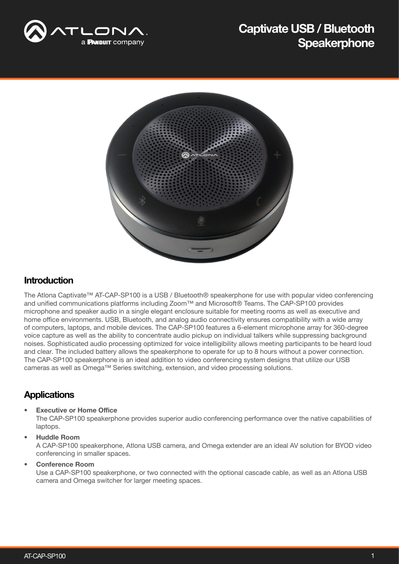

# Captivate USB / Bluetooth **Speakerphone**



### Introduction

The Atlona Captivate™ AT-CAP-SP100 is a USB / Bluetooth® speakerphone for use with popular video conferencing and unified communications platforms including Zoom™ and Microsoft® Teams. The CAP-SP100 provides microphone and speaker audio in a single elegant enclosure suitable for meeting rooms as well as executive and home office environments. USB, Bluetooth, and analog audio connectivity ensures compatibility with a wide array of computers, laptops, and mobile devices. The CAP-SP100 features a 6-element microphone array for 360-degree voice capture as well as the ability to concentrate audio pickup on individual talkers while suppressing background noises. Sophisticated audio processing optimized for voice intelligibility allows meeting participants to be heard loud and clear. The included battery allows the speakerphone to operate for up to 8 hours without a power connection. The CAP-SP100 speakerphone is an ideal addition to video conferencing system designs that utilize our USB cameras as well as Omega™ Series switching, extension, and video processing solutions.

## **Applications**

#### **Executive or Home Office**

The CAP-SP100 speakerphone provides superior audio conferencing performance over the native capabilities of laptops.

#### • Huddle Room

A CAP-SP100 speakerphone, Atlona USB camera, and Omega extender are an ideal AV solution for BYOD video conferencing in smaller spaces.

• Conference Room

Use a CAP-SP100 speakerphone, or two connected with the optional cascade cable, as well as an Atlona USB camera and Omega switcher for larger meeting spaces.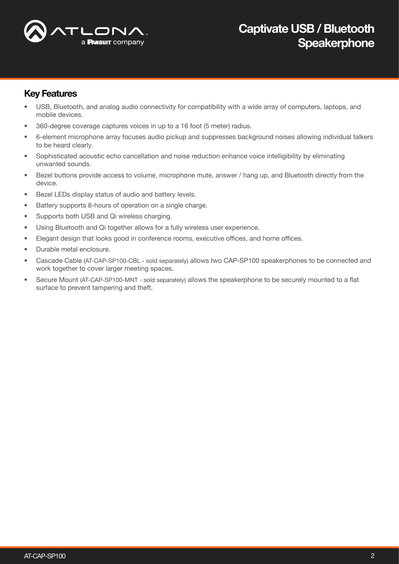

## Key Features

- USB, Bluetooth, and analog audio connectivity for compatibility with a wide array of computers, laptops, and mobile devices.
- 360-degree coverage captures voices in up to a 16 foot (5 meter) radius.
- 6-element microphone array focuses audio pickup and suppresses background noises allowing individual talkers to be heard clearly.
- Sophisticated acoustic echo cancellation and noise reduction enhance voice intelligibility by eliminating unwanted sounds.
- Bezel buttons provide access to volume, microphone mute, answer / hang up, and Bluetooth directly from the device.
- Bezel LEDs display status of audio and battery levels.
- Battery supports 8-hours of operation on a single charge.
- Supports both USB and Qi wireless charging.
- Using Bluetooth and Qi together allows for a fully wireless user experience.
- Elegant design that looks good in conference rooms, executive offices, and home offices.
- Durable metal enclosure.
- Cascade Cable (AT-CAP-SP100-CBL sold separately) allows two CAP-SP100 speakerphones to be connected and work together to cover larger meeting spaces.
- Secure Mount (AT-CAP-SP100-MNT sold separately) allows the speakerphone to be securely mounted to a flat surface to prevent tampering and theft.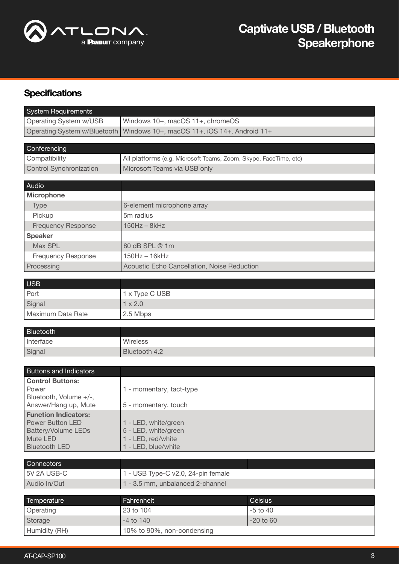

## **Specifications**

| Operating System w/USB<br>Windows 10+, macOS 11+, chromeOS<br>Operating System w/Bluetooth<br>Windows 10+, macOS 11+, iOS 14+, Android 11+<br>Conferencing<br>Compatibility<br>All platforms (e.g. Microsoft Teams, Zoom, Skype, FaceTime, etc)<br><b>Control Synchronization</b><br>Microsoft Teams via USB only<br>Audio<br><b>Microphone</b><br>6-element microphone array<br><b>Type</b><br>5m radius<br>Pickup<br>$150$ Hz $-$ 8 $k$ Hz<br><b>Frequency Response</b><br><b>Speaker</b><br>Max SPL<br>80 dB SPL @ 1m<br><b>Frequency Response</b><br>$150$ Hz $- 16$ kHz<br>Processing<br>Acoustic Echo Cancellation, Noise Reduction<br><b>USB</b><br>Port<br>1 x Type C USB<br>$1 \times 2.0$<br>Signal<br>Maximum Data Rate<br>2.5 Mbps<br><b>Bluetooth</b><br>Interface<br>Wireless | <b>System Requirements</b> |  |  |  |
|---------------------------------------------------------------------------------------------------------------------------------------------------------------------------------------------------------------------------------------------------------------------------------------------------------------------------------------------------------------------------------------------------------------------------------------------------------------------------------------------------------------------------------------------------------------------------------------------------------------------------------------------------------------------------------------------------------------------------------------------------------------------------------------------|----------------------------|--|--|--|
|                                                                                                                                                                                                                                                                                                                                                                                                                                                                                                                                                                                                                                                                                                                                                                                             |                            |  |  |  |
|                                                                                                                                                                                                                                                                                                                                                                                                                                                                                                                                                                                                                                                                                                                                                                                             |                            |  |  |  |
|                                                                                                                                                                                                                                                                                                                                                                                                                                                                                                                                                                                                                                                                                                                                                                                             |                            |  |  |  |
|                                                                                                                                                                                                                                                                                                                                                                                                                                                                                                                                                                                                                                                                                                                                                                                             |                            |  |  |  |
|                                                                                                                                                                                                                                                                                                                                                                                                                                                                                                                                                                                                                                                                                                                                                                                             |                            |  |  |  |
|                                                                                                                                                                                                                                                                                                                                                                                                                                                                                                                                                                                                                                                                                                                                                                                             |                            |  |  |  |
|                                                                                                                                                                                                                                                                                                                                                                                                                                                                                                                                                                                                                                                                                                                                                                                             |                            |  |  |  |
|                                                                                                                                                                                                                                                                                                                                                                                                                                                                                                                                                                                                                                                                                                                                                                                             |                            |  |  |  |
|                                                                                                                                                                                                                                                                                                                                                                                                                                                                                                                                                                                                                                                                                                                                                                                             |                            |  |  |  |
|                                                                                                                                                                                                                                                                                                                                                                                                                                                                                                                                                                                                                                                                                                                                                                                             |                            |  |  |  |
|                                                                                                                                                                                                                                                                                                                                                                                                                                                                                                                                                                                                                                                                                                                                                                                             |                            |  |  |  |
|                                                                                                                                                                                                                                                                                                                                                                                                                                                                                                                                                                                                                                                                                                                                                                                             |                            |  |  |  |
|                                                                                                                                                                                                                                                                                                                                                                                                                                                                                                                                                                                                                                                                                                                                                                                             |                            |  |  |  |
|                                                                                                                                                                                                                                                                                                                                                                                                                                                                                                                                                                                                                                                                                                                                                                                             |                            |  |  |  |
|                                                                                                                                                                                                                                                                                                                                                                                                                                                                                                                                                                                                                                                                                                                                                                                             |                            |  |  |  |
|                                                                                                                                                                                                                                                                                                                                                                                                                                                                                                                                                                                                                                                                                                                                                                                             |                            |  |  |  |
|                                                                                                                                                                                                                                                                                                                                                                                                                                                                                                                                                                                                                                                                                                                                                                                             |                            |  |  |  |
|                                                                                                                                                                                                                                                                                                                                                                                                                                                                                                                                                                                                                                                                                                                                                                                             |                            |  |  |  |
|                                                                                                                                                                                                                                                                                                                                                                                                                                                                                                                                                                                                                                                                                                                                                                                             |                            |  |  |  |
|                                                                                                                                                                                                                                                                                                                                                                                                                                                                                                                                                                                                                                                                                                                                                                                             |                            |  |  |  |
|                                                                                                                                                                                                                                                                                                                                                                                                                                                                                                                                                                                                                                                                                                                                                                                             |                            |  |  |  |
|                                                                                                                                                                                                                                                                                                                                                                                                                                                                                                                                                                                                                                                                                                                                                                                             |                            |  |  |  |
|                                                                                                                                                                                                                                                                                                                                                                                                                                                                                                                                                                                                                                                                                                                                                                                             |                            |  |  |  |
| Bluetooth 4.2<br>Signal                                                                                                                                                                                                                                                                                                                                                                                                                                                                                                                                                                                                                                                                                                                                                                     |                            |  |  |  |
|                                                                                                                                                                                                                                                                                                                                                                                                                                                                                                                                                                                                                                                                                                                                                                                             |                            |  |  |  |
| <b>Buttons and Indicators</b>                                                                                                                                                                                                                                                                                                                                                                                                                                                                                                                                                                                                                                                                                                                                                               |                            |  |  |  |
| <b>Control Buttons:</b>                                                                                                                                                                                                                                                                                                                                                                                                                                                                                                                                                                                                                                                                                                                                                                     |                            |  |  |  |
| Power<br>1 - momentary, tact-type                                                                                                                                                                                                                                                                                                                                                                                                                                                                                                                                                                                                                                                                                                                                                           |                            |  |  |  |
| Bluetooth, Volume +/-,                                                                                                                                                                                                                                                                                                                                                                                                                                                                                                                                                                                                                                                                                                                                                                      |                            |  |  |  |
| Answer/Hang up, Mute<br>5 - momentary, touch<br><b>Function Indicators:</b>                                                                                                                                                                                                                                                                                                                                                                                                                                                                                                                                                                                                                                                                                                                 |                            |  |  |  |
| <b>Power Button LED</b><br>1 - LED, white/green                                                                                                                                                                                                                                                                                                                                                                                                                                                                                                                                                                                                                                                                                                                                             |                            |  |  |  |
| Battery/Volume LEDs<br>5 - LED, white/green                                                                                                                                                                                                                                                                                                                                                                                                                                                                                                                                                                                                                                                                                                                                                 |                            |  |  |  |
| Mute LED<br>1 - LED, red/white                                                                                                                                                                                                                                                                                                                                                                                                                                                                                                                                                                                                                                                                                                                                                              |                            |  |  |  |
| 1 - LED, blue/white<br><b>Bluetooth LED</b>                                                                                                                                                                                                                                                                                                                                                                                                                                                                                                                                                                                                                                                                                                                                                 |                            |  |  |  |
| Connectors                                                                                                                                                                                                                                                                                                                                                                                                                                                                                                                                                                                                                                                                                                                                                                                  |                            |  |  |  |
| 5V 2A USB-C<br>1 - USB Type-C v2.0, 24-pin female                                                                                                                                                                                                                                                                                                                                                                                                                                                                                                                                                                                                                                                                                                                                           |                            |  |  |  |
| Audio In/Out<br>1 - 3.5 mm, unbalanced 2-channel                                                                                                                                                                                                                                                                                                                                                                                                                                                                                                                                                                                                                                                                                                                                            |                            |  |  |  |
|                                                                                                                                                                                                                                                                                                                                                                                                                                                                                                                                                                                                                                                                                                                                                                                             |                            |  |  |  |
| Fahrenheit<br><b>Temperature</b><br>Celsius                                                                                                                                                                                                                                                                                                                                                                                                                                                                                                                                                                                                                                                                                                                                                 |                            |  |  |  |
| 23 to 104<br>$-5$ to $40$<br>Operating                                                                                                                                                                                                                                                                                                                                                                                                                                                                                                                                                                                                                                                                                                                                                      |                            |  |  |  |
| $-4$ to $140$<br>$-20$ to $60$<br>Storage                                                                                                                                                                                                                                                                                                                                                                                                                                                                                                                                                                                                                                                                                                                                                   |                            |  |  |  |
| Humidity (RH)<br>10% to 90%, non-condensing                                                                                                                                                                                                                                                                                                                                                                                                                                                                                                                                                                                                                                                                                                                                                 |                            |  |  |  |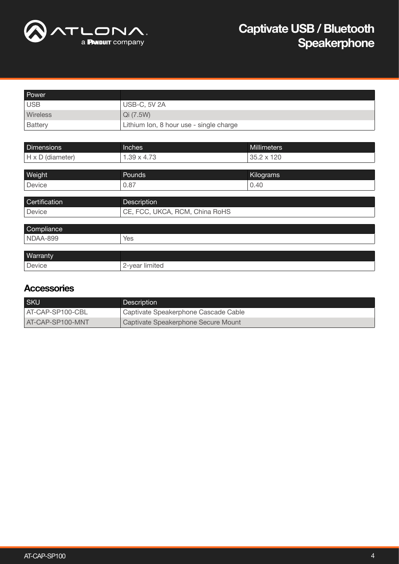

| Power             |                                         |             |
|-------------------|-----------------------------------------|-------------|
| <b>USB</b>        | <b>USB-C, 5V 2A</b>                     |             |
| Wireless          | Qi (7.5W)                               |             |
| <b>Battery</b>    | Lithium Ion, 8 hour use - single charge |             |
|                   |                                         |             |
|                   |                                         |             |
| <b>Dimensions</b> | <b>Inches</b>                           | Millimeters |
| H x D (diameter)  | $1.39 \times 4.73$                      | 35.2 x 120  |
|                   |                                         |             |
| Weight            | Pounds                                  | Kilograms   |

| Certification | Description                    |
|---------------|--------------------------------|
| Device        | CE, FCC, UKCA, RCM, China RoHS |
|               |                                |
| Compliance    |                                |
| NDAA-899      | Yes                            |
|               |                                |
| Warranty      |                                |
| Device        | 2-year limited                 |

### **Accessories**

| <b>SKU</b>       | Description                          |
|------------------|--------------------------------------|
| AT-CAP-SP100-CBL | Captivate Speakerphone Cascade Cable |
| AT-CAP-SP100-MNT | Captivate Speakerphone Secure Mount  |